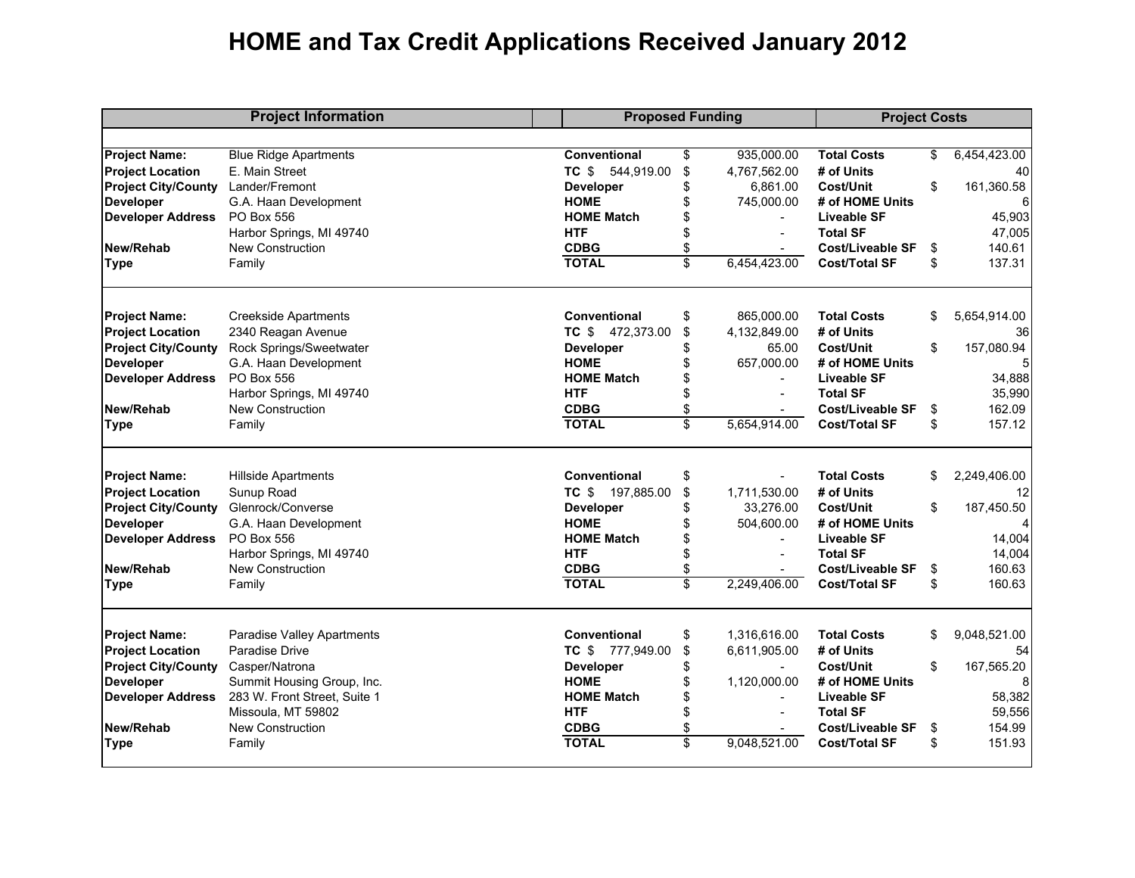## **HOME and Tax Credit Applications Received January 2012**

| <b>Project Information</b> |                              |                     | <b>Proposed Funding</b> |                |                         | <b>Project Costs</b> |              |  |  |
|----------------------------|------------------------------|---------------------|-------------------------|----------------|-------------------------|----------------------|--------------|--|--|
|                            |                              |                     |                         |                |                         |                      |              |  |  |
| <b>Project Name:</b>       | <b>Blue Ridge Apartments</b> | Conventional        | \$                      | 935,000.00     | <b>Total Costs</b>      | \$                   | 6,454,423.00 |  |  |
| <b>Project Location</b>    | E. Main Street               | TC \$ 544,919.00    | \$                      | 4,767,562.00   | # of Units              |                      | 40           |  |  |
| <b>Project City/County</b> | Lander/Fremont               | <b>Developer</b>    | \$                      | 6.861.00       | Cost/Unit               | \$                   | 161,360.58   |  |  |
| <b>Developer</b>           | G.A. Haan Development        | <b>HOME</b>         | \$                      | 745,000.00     | # of HOME Units         |                      | 6            |  |  |
| <b>Developer Address</b>   | PO Box 556                   | <b>HOME Match</b>   | \$                      |                | <b>Liveable SF</b>      |                      | 45,903       |  |  |
|                            | Harbor Springs, MI 49740     | <b>HTF</b>          | \$                      |                | <b>Total SF</b>         |                      | 47,005       |  |  |
| New/Rehab                  | <b>New Construction</b>      | <b>CDBG</b>         | \$                      | $\blacksquare$ | <b>Cost/Liveable SF</b> | \$                   | 140.61       |  |  |
| <b>Type</b>                | Family                       | <b>TOTAL</b>        | \$                      | 6,454,423.00   | <b>Cost/Total SF</b>    | \$                   | 137.31       |  |  |
| <b>Project Name:</b>       | <b>Creekside Apartments</b>  | <b>Conventional</b> | \$                      | 865,000.00     | <b>Total Costs</b>      | \$                   | 5,654,914.00 |  |  |
| <b>Project Location</b>    | 2340 Reagan Avenue           | TC \$ 472,373.00    | \$                      | 4,132,849.00   | # of Units              |                      | 36           |  |  |
| <b>Project City/County</b> | Rock Springs/Sweetwater      | <b>Developer</b>    | \$                      | 65.00          | <b>Cost/Unit</b>        | \$                   | 157,080.94   |  |  |
| <b>Developer</b>           | G.A. Haan Development        | <b>HOME</b>         | \$                      | 657,000.00     | # of HOME Units         |                      | 5            |  |  |
| <b>Developer Address</b>   | PO Box 556                   | <b>HOME Match</b>   | \$                      |                | <b>Liveable SF</b>      |                      | 34,888       |  |  |
|                            | Harbor Springs, MI 49740     | <b>HTF</b>          | \$                      |                | <b>Total SF</b>         |                      | 35,990       |  |  |
| New/Rehab                  | New Construction             | <b>CDBG</b>         | \$                      |                | <b>Cost/Liveable SF</b> | \$                   | 162.09       |  |  |
| Type                       | Family                       | <b>TOTAL</b>        | \$                      | 5,654,914.00   | <b>Cost/Total SF</b>    | \$                   | 157.12       |  |  |
| <b>Project Name:</b>       | <b>Hillside Apartments</b>   | Conventional        | \$                      |                | <b>Total Costs</b>      | \$                   | 2,249,406.00 |  |  |
| <b>Project Location</b>    | Sunup Road                   | TC \$ 197,885.00    | \$                      | 1,711,530.00   | # of Units              |                      | 12           |  |  |
| <b>Project City/County</b> | Glenrock/Converse            | <b>Developer</b>    | \$                      | 33,276.00      | Cost/Unit               | \$                   | 187,450.50   |  |  |
| <b>Developer</b>           | G.A. Haan Development        | <b>HOME</b>         | \$                      | 504,600.00     | # of HOME Units         |                      | 4            |  |  |
| <b>Developer Address</b>   | PO Box 556                   | <b>HOME Match</b>   | \$                      | $\blacksquare$ | Liveable SF             |                      | 14,004       |  |  |
|                            | Harbor Springs, MI 49740     | <b>HTF</b>          | \$                      | $\sim$         | <b>Total SF</b>         |                      | 14,004       |  |  |
| New/Rehab                  | New Construction             | <b>CDBG</b>         | \$                      |                | <b>Cost/Liveable SF</b> | \$                   | 160.63       |  |  |
| <b>Type</b>                | Family                       | <b>TOTAL</b>        | $\overline{\mathbb{S}}$ | 2.249.406.00   | <b>Cost/Total SF</b>    | \$                   | 160.63       |  |  |
| <b>Project Name:</b>       | Paradise Valley Apartments   | <b>Conventional</b> | \$                      | 1,316,616.00   | <b>Total Costs</b>      | \$                   | 9,048,521.00 |  |  |
| <b>Project Location</b>    | Paradise Drive               | TC \$ 777,949.00    | \$                      | 6,611,905.00   | # of Units              |                      | 54           |  |  |
| <b>Project City/County</b> | Casper/Natrona               | <b>Developer</b>    | \$                      | $\sim$         | <b>Cost/Unit</b>        | \$                   | 167,565.20   |  |  |
| <b>Developer</b>           | Summit Housing Group, Inc.   | <b>HOME</b>         | \$                      | 1,120,000.00   | # of HOME Units         |                      | 8            |  |  |
| <b>Developer Address</b>   | 283 W. Front Street, Suite 1 | <b>HOME Match</b>   | \$                      |                | Liveable SF             |                      | 58,382       |  |  |
|                            | Missoula, MT 59802           | <b>HTF</b>          | \$                      | $\sim$         | <b>Total SF</b>         |                      | 59,556       |  |  |
| New/Rehab                  | New Construction             | <b>CDBG</b>         | \$                      |                | <b>Cost/Liveable SF</b> | \$                   | 154.99       |  |  |
| <b>Type</b>                | Family                       | <b>TOTAL</b>        | \$                      | 9,048,521.00   | <b>Cost/Total SF</b>    | \$                   | 151.93       |  |  |
|                            |                              |                     |                         |                |                         |                      |              |  |  |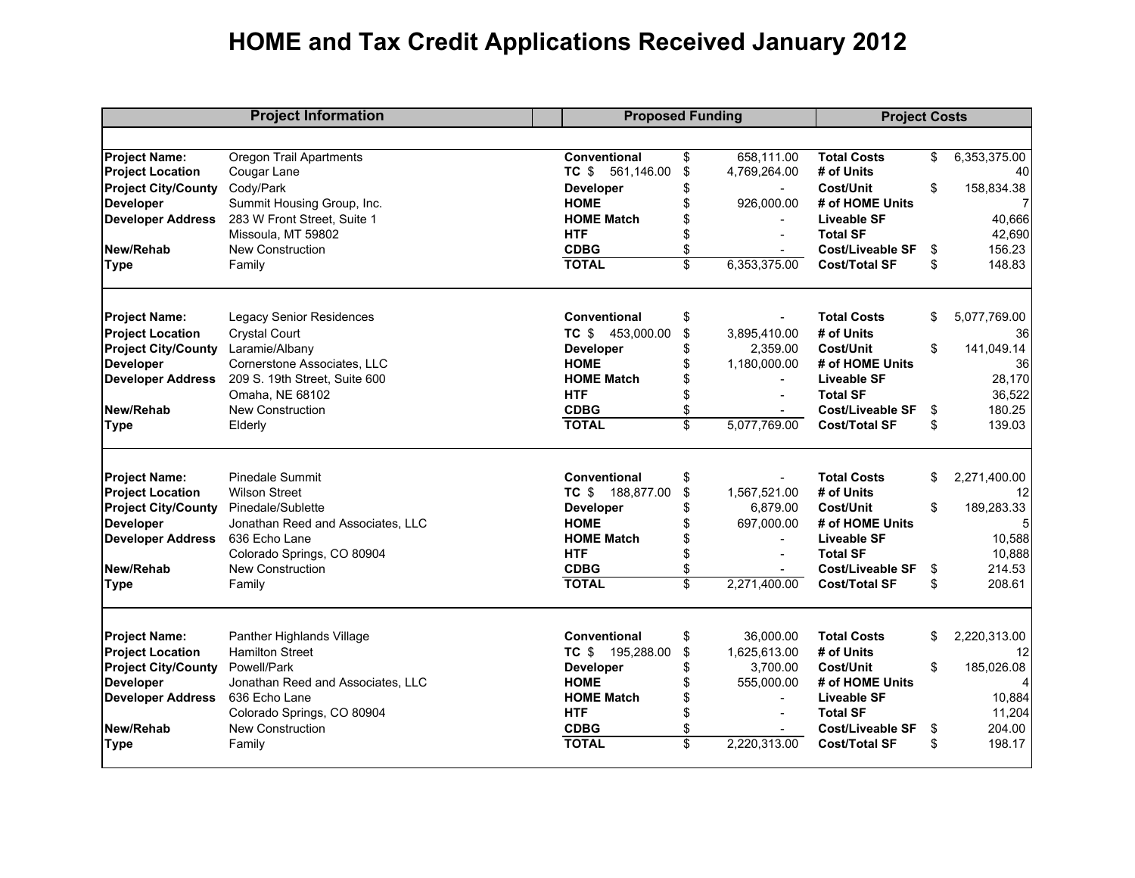## **HOME and Tax Credit Applications Received January 2012**

| <b>Project Information</b> |                                   | <b>Proposed Funding</b> |                 |                | <b>Project Costs</b>    |    |                |  |
|----------------------------|-----------------------------------|-------------------------|-----------------|----------------|-------------------------|----|----------------|--|
|                            |                                   |                         |                 |                |                         |    |                |  |
| <b>Project Name:</b>       | <b>Oregon Trail Apartments</b>    | Conventional            | \$              | 658,111.00     | <b>Total Costs</b>      | \$ | 6,353,375.00   |  |
| <b>Project Location</b>    | Cougar Lane                       | TC \$ 561,146.00        | \$              | 4,769,264.00   | # of Units              |    | 40             |  |
| <b>Project City/County</b> | Cody/Park                         | <b>Developer</b>        | \$              | $\sim$         | Cost/Unit               | \$ | 158,834.38     |  |
| <b>Developer</b>           | Summit Housing Group, Inc.        | <b>HOME</b>             | \$              | 926,000.00     | # of HOME Units         |    | $\overline{7}$ |  |
| <b>Developer Address</b>   | 283 W Front Street, Suite 1       | <b>HOME Match</b>       | \$              | $\blacksquare$ | <b>Liveable SF</b>      |    | 40,666         |  |
|                            | Missoula, MT 59802                | <b>HTF</b>              | \$              |                | <b>Total SF</b>         |    | 42,690         |  |
| New/Rehab                  | New Construction                  | <b>CDBG</b>             | \$              |                | <b>Cost/Liveable SF</b> | \$ | 156.23         |  |
| <b>Type</b>                | Family                            | <b>TOTAL</b>            | \$              | 6,353,375.00   | <b>Cost/Total SF</b>    | \$ | 148.83         |  |
| <b>Project Name:</b>       | <b>Legacy Senior Residences</b>   | Conventional            | \$              |                | <b>Total Costs</b>      | \$ | 5,077,769.00   |  |
| <b>Project Location</b>    | <b>Crystal Court</b>              | TC \$ 453,000.00        | \$              | 3,895,410.00   | # of Units              |    | 36             |  |
| <b>Project City/County</b> | Laramie/Albany                    | Developer               | \$              | 2.359.00       | Cost/Unit               | \$ | 141.049.14     |  |
| <b>Developer</b>           | Cornerstone Associates, LLC       | <b>HOME</b>             | \$              | 1,180,000.00   | # of HOME Units         |    | 36             |  |
| <b>Developer Address</b>   | 209 S. 19th Street, Suite 600     | <b>HOME Match</b>       | \$              |                | <b>Liveable SF</b>      |    | 28,170         |  |
|                            | Omaha, NE 68102                   | <b>HTF</b>              | \$              |                | <b>Total SF</b>         |    | 36,522         |  |
| New/Rehab                  | <b>New Construction</b>           | <b>CDBG</b>             | \$              |                | Cost/Liveable SF        | \$ | 180.25         |  |
| Type                       | Elderly                           | <b>TOTAL</b>            | \$              | 5,077,769.00   | <b>Cost/Total SF</b>    | \$ | 139.03         |  |
| <b>Project Name:</b>       | <b>Pinedale Summit</b>            | <b>Conventional</b>     | \$              |                | <b>Total Costs</b>      | \$ | 2,271,400.00   |  |
| <b>Project Location</b>    | <b>Wilson Street</b>              | TC \$ 188,877.00        | \$              | 1,567,521.00   | # of Units              |    | 12             |  |
| <b>Project City/County</b> | Pinedale/Sublette                 | <b>Developer</b>        | \$              | 6,879.00       | Cost/Unit               | \$ | 189,283.33     |  |
| <b>Developer</b>           | Jonathan Reed and Associates, LLC | <b>HOME</b>             | \$              | 697,000.00     | # of HOME Units         |    | 5              |  |
| <b>Developer Address</b>   | 636 Echo Lane                     | <b>HOME Match</b>       | \$              |                | <b>Liveable SF</b>      |    | 10,588         |  |
|                            | Colorado Springs, CO 80904        | <b>HTF</b>              | \$              |                | <b>Total SF</b>         |    | 10,888         |  |
| New/Rehab                  | New Construction                  | <b>CDBG</b>             | \$              | $\sim$         | <b>Cost/Liveable SF</b> | \$ | 214.53         |  |
| <b>Type</b>                | Family                            | <b>TOTAL</b>            | \$              | 2,271,400.00   | <b>Cost/Total SF</b>    | \$ | 208.61         |  |
| <b>Project Name:</b>       | Panther Highlands Village         | Conventional            | \$              | 36.000.00      | <b>Total Costs</b>      | \$ | 2,220,313.00   |  |
| <b>Project Location</b>    | <b>Hamilton Street</b>            | TC \$ 195,288.00        | \$              | 1.625.613.00   | # of Units              |    | 12             |  |
| <b>Project City/County</b> | Powell/Park                       | <b>Developer</b>        | \$              | 3.700.00       | <b>Cost/Unit</b>        | \$ | 185,026.08     |  |
| <b>Developer</b>           | Jonathan Reed and Associates, LLC | <b>HOME</b>             | \$              | 555,000.00     | # of HOME Units         |    |                |  |
| <b>Developer Address</b>   | 636 Echo Lane                     | <b>HOME Match</b>       | \$              |                | <b>Liveable SF</b>      |    | 10,884         |  |
|                            | Colorado Springs, CO 80904        | <b>HTF</b>              | \$              | $\sim$         | <b>Total SF</b>         |    | 11,204         |  |
| New/Rehab                  | New Construction                  | <b>CDBG</b>             | \$              | $\blacksquare$ | <b>Cost/Liveable SF</b> | \$ | 204.00         |  |
| <b>Type</b>                | Family                            | <b>TOTAL</b>            | $\overline{\$}$ | 2,220,313.00   | <b>Cost/Total SF</b>    | \$ | 198.17         |  |
|                            |                                   |                         |                 |                |                         |    |                |  |